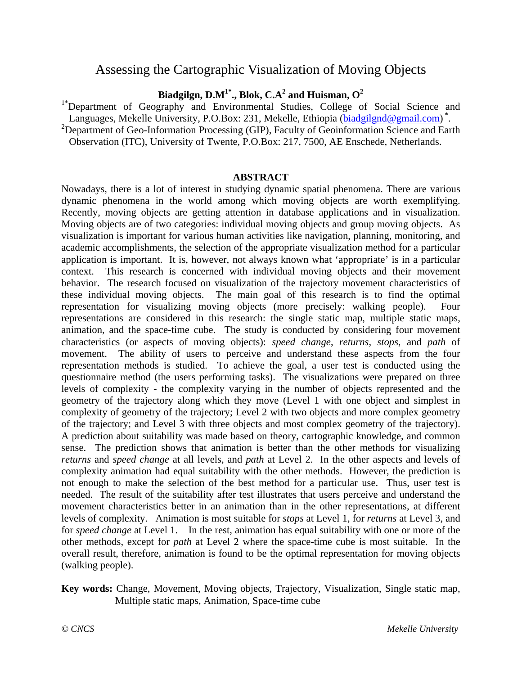# Assessing the Cartographic Visualization of Moving Objects

 $\mathbf{B}$ iadgilgn,  $\mathbf{D}.\mathbf{M}^{1^*}$ .,  $\mathbf{B} \mathbf{lok}, \mathbf{C}.\mathbf{A}^2$  and  $\mathbf{H}$ uisman,  $\mathbf{O}^2$ 

<sup>1\*</sup>Department of Geography and Environmental Studies, College of Social Science and Languages, Mekelle University, P.O.Box: 231, Mekelle, Ethiopia (biadgilgnd@gmail.com)<sup>\*</sup>.  $^{2}$ Department of Geo-Information Processing (GIP), Faculty of Geoinformation Science and Earth

Observation (ITC), University of Twente, P.O.Box: 217, 7500, AE Enschede, Netherlands.

#### **ABSTRACT**

Nowadays, there is a lot of interest in studying dynamic spatial phenomena. There are various dynamic phenomena in the world among which moving objects are worth exemplifying. Recently, moving objects are getting attention in database applications and in visualization. Moving objects are of two categories: individual moving objects and group moving objects. As visualization is important for various human activities like navigation, planning, monitoring, and academic accomplishments, the selection of the appropriate visualization method for a particular application is important. It is, however, not always known what 'appropriate' is in a particular context. This research is concerned with individual moving objects and their movement behavior. The research focused on visualization of the trajectory movement characteristics of these individual moving objects. The main goal of this research is to find the optimal representation for visualizing moving objects (more precisely: walking people). Four representations are considered in this research: the single static map, multiple static maps, animation, and the space-time cube. The study is conducted by considering four movement characteristics (or aspects of moving objects): *speed change*, *returns*, *stops*, and *path* of movement. The ability of users to perceive and understand these aspects from the four representation methods is studied. To achieve the goal, a user test is conducted using the questionnaire method (the users performing tasks). The visualizations were prepared on three levels of complexity - the complexity varying in the number of objects represented and the geometry of the trajectory along which they move (Level 1 with one object and simplest in complexity of geometry of the trajectory; Level 2 with two objects and more complex geometry of the trajectory; and Level 3 with three objects and most complex geometry of the trajectory). A prediction about suitability was made based on theory, cartographic knowledge, and common sense. The prediction shows that animation is better than the other methods for visualizing *returns* and *speed change* at all levels, and *path* at Level 2. In the other aspects and levels of complexity animation had equal suitability with the other methods. However, the prediction is not enough to make the selection of the best method for a particular use. Thus, user test is needed. The result of the suitability after test illustrates that users perceive and understand the movement characteristics better in an animation than in the other representations, at different levels of complexity. Animation is most suitable for *stops* at Level 1, for *returns* at Level 3, and for *speed change* at Level 1. In the rest, animation has equal suitability with one or more of the other methods, except for *path* at Level 2 where the space-time cube is most suitable. In the overall result, therefore, animation is found to be the optimal representation for moving objects (walking people).

## **Key words:** Change, Movement, Moving objects, Trajectory, Visualization, Single static map, Multiple static maps, Animation, Space-time cube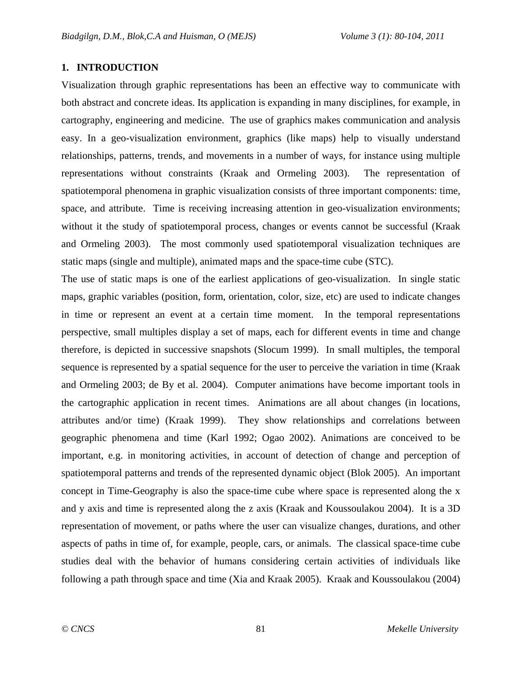## **1. INTRODUCTION**

Visualization through graphic representations has been an effective way to communicate with both abstract and concrete ideas. Its application is expanding in many disciplines, for example, in cartography, engineering and medicine. The use of graphics makes communication and analysis easy. In a geo-visualization environment, graphics (like maps) help to visually understand relationships, patterns, trends, and movements in a number of ways, for instance using multiple representations without constraints (Kraak and Ormeling 2003). The representation of spatiotemporal phenomena in graphic visualization consists of three important components: time, space, and attribute. Time is receiving increasing attention in geo-visualization environments; without it the study of spatiotemporal process, changes or events cannot be successful (Kraak and Ormeling 2003). The most commonly used spatiotemporal visualization techniques are static maps (single and multiple), animated maps and the space-time cube (STC).

The use of static maps is one of the earliest applications of geo-visualization. In single static maps, graphic variables (position, form, orientation, color, size, etc) are used to indicate changes in time or represent an event at a certain time moment. In the temporal representations perspective, small multiples display a set of maps, each for different events in time and change therefore, is depicted in successive snapshots (Slocum 1999). In small multiples, the temporal sequence is represented by a spatial sequence for the user to perceive the variation in time (Kraak and Ormeling 2003; de By et al. 2004). Computer animations have become important tools in the cartographic application in recent times. Animations are all about changes (in locations, attributes and/or time) (Kraak 1999). They show relationships and correlations between geographic phenomena and time (Karl 1992; Ogao 2002). Animations are conceived to be important, e.g. in monitoring activities, in account of detection of change and perception of spatiotemporal patterns and trends of the represented dynamic object (Blok 2005). An important concept in Time-Geography is also the space-time cube where space is represented along the x and y axis and time is represented along the z axis (Kraak and Koussoulakou 2004). It is a 3D representation of movement, or paths where the user can visualize changes, durations, and other aspects of paths in time of, for example, people, cars, or animals. The classical space-time cube studies deal with the behavior of humans considering certain activities of individuals like following a path through space and time (Xia and Kraak 2005). Kraak and Koussoulakou (2004)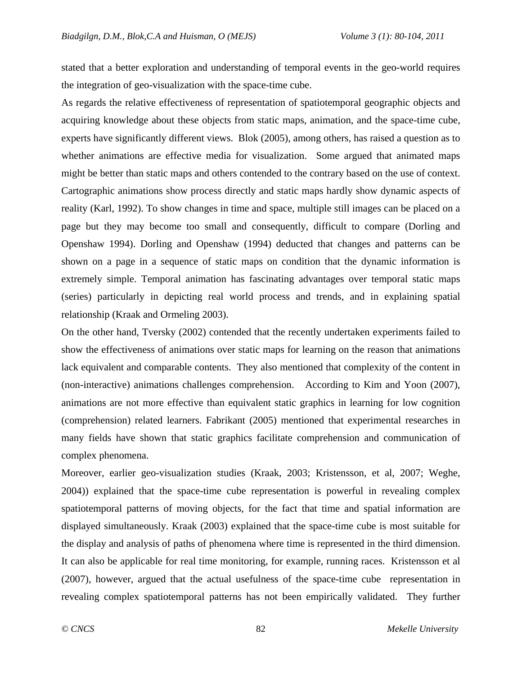stated that a better exploration and understanding of temporal events in the geo-world requires the integration of geo-visualization with the space-time cube.

As regards the relative effectiveness of representation of spatiotemporal geographic objects and acquiring knowledge about these objects from static maps, animation, and the space-time cube, experts have significantly different views. Blok (2005), among others, has raised a question as to whether animations are effective media for visualization. Some argued that animated maps might be better than static maps and others contended to the contrary based on the use of context. Cartographic animations show process directly and static maps hardly show dynamic aspects of reality (Karl, 1992). To show changes in time and space, multiple still images can be placed on a page but they may become too small and consequently, difficult to compare (Dorling and Openshaw 1994). Dorling and Openshaw (1994) deducted that changes and patterns can be shown on a page in a sequence of static maps on condition that the dynamic information is extremely simple. Temporal animation has fascinating advantages over temporal static maps (series) particularly in depicting real world process and trends, and in explaining spatial relationship (Kraak and Ormeling 2003).

On the other hand, Tversky (2002) contended that the recently undertaken experiments failed to show the effectiveness of animations over static maps for learning on the reason that animations lack equivalent and comparable contents. They also mentioned that complexity of the content in (non-interactive) animations challenges comprehension. According to Kim and Yoon (2007), animations are not more effective than equivalent static graphics in learning for low cognition (comprehension) related learners. Fabrikant (2005) mentioned that experimental researches in many fields have shown that static graphics facilitate comprehension and communication of complex phenomena.

Moreover, earlier geo-visualization studies (Kraak, 2003; Kristensson, et al, 2007; Weghe, 2004)) explained that the space-time cube representation is powerful in revealing complex spatiotemporal patterns of moving objects, for the fact that time and spatial information are displayed simultaneously. Kraak (2003) explained that the space-time cube is most suitable for the display and analysis of paths of phenomena where time is represented in the third dimension. It can also be applicable for real time monitoring, for example, running races. Kristensson et al (2007), however, argued that the actual usefulness of the space-time cube representation in revealing complex spatiotemporal patterns has not been empirically validated. They further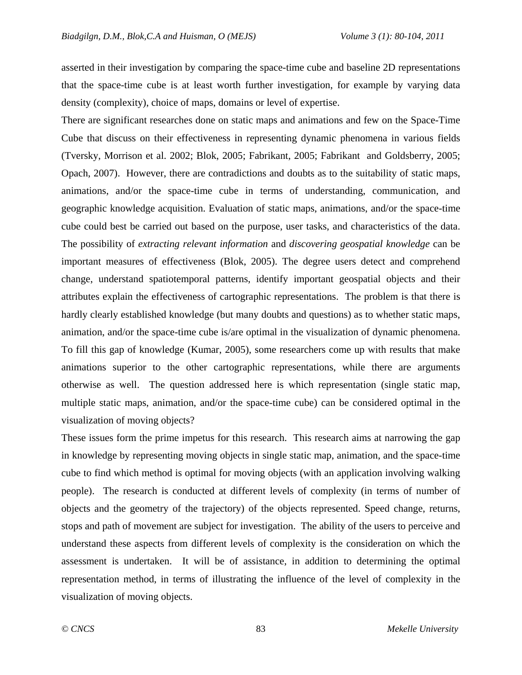asserted in their investigation by comparing the space-time cube and baseline 2D representations that the space-time cube is at least worth further investigation, for example by varying data density (complexity), choice of maps, domains or level of expertise.

There are significant researches done on static maps and animations and few on the Space-Time Cube that discuss on their effectiveness in representing dynamic phenomena in various fields (Tversky, Morrison et al. 2002; Blok, 2005; Fabrikant, 2005; Fabrikant and Goldsberry, 2005; Opach, 2007). However, there are contradictions and doubts as to the suitability of static maps, animations, and/or the space-time cube in terms of understanding, communication, and geographic knowledge acquisition. Evaluation of static maps, animations, and/or the space-time cube could best be carried out based on the purpose, user tasks, and characteristics of the data. The possibility of *extracting relevant information* and *discovering geospatial knowledge* can be important measures of effectiveness (Blok, 2005). The degree users detect and comprehend change, understand spatiotemporal patterns, identify important geospatial objects and their attributes explain the effectiveness of cartographic representations. The problem is that there is hardly clearly established knowledge (but many doubts and questions) as to whether static maps, animation, and/or the space-time cube is/are optimal in the visualization of dynamic phenomena. To fill this gap of knowledge (Kumar, 2005), some researchers come up with results that make animations superior to the other cartographic representations, while there are arguments otherwise as well. The question addressed here is which representation (single static map, multiple static maps, animation, and/or the space-time cube) can be considered optimal in the visualization of moving objects?

These issues form the prime impetus for this research. This research aims at narrowing the gap in knowledge by representing moving objects in single static map, animation, and the space-time cube to find which method is optimal for moving objects (with an application involving walking people). The research is conducted at different levels of complexity (in terms of number of objects and the geometry of the trajectory) of the objects represented. Speed change, returns, stops and path of movement are subject for investigation. The ability of the users to perceive and understand these aspects from different levels of complexity is the consideration on which the assessment is undertaken. It will be of assistance, in addition to determining the optimal representation method, in terms of illustrating the influence of the level of complexity in the visualization of moving objects.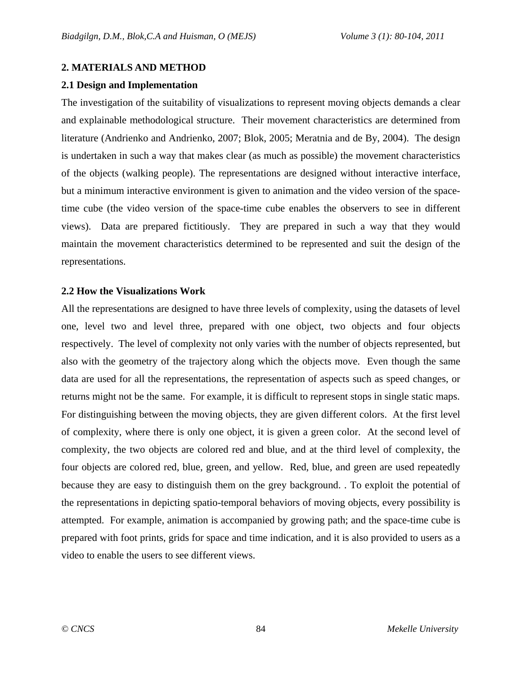## **2. MATERIALS AND METHOD**

#### **2.1 Design and Implementation**

The investigation of the suitability of visualizations to represent moving objects demands a clear and explainable methodological structure. Their movement characteristics are determined from literature (Andrienko and Andrienko, 2007; Blok, 2005; Meratnia and de By, 2004). The design is undertaken in such a way that makes clear (as much as possible) the movement characteristics of the objects (walking people). The representations are designed without interactive interface, but a minimum interactive environment is given to animation and the video version of the spacetime cube (the video version of the space-time cube enables the observers to see in different views). Data are prepared fictitiously. They are prepared in such a way that they would maintain the movement characteristics determined to be represented and suit the design of the representations.

## **2.2 How the Visualizations Work**

All the representations are designed to have three levels of complexity, using the datasets of level one, level two and level three, prepared with one object, two objects and four objects respectively. The level of complexity not only varies with the number of objects represented, but also with the geometry of the trajectory along which the objects move. Even though the same data are used for all the representations, the representation of aspects such as speed changes, or returns might not be the same. For example, it is difficult to represent stops in single static maps. For distinguishing between the moving objects, they are given different colors. At the first level of complexity, where there is only one object, it is given a green color. At the second level of complexity, the two objects are colored red and blue, and at the third level of complexity, the four objects are colored red, blue, green, and yellow. Red, blue, and green are used repeatedly because they are easy to distinguish them on the grey background. . To exploit the potential of the representations in depicting spatio-temporal behaviors of moving objects, every possibility is attempted. For example, animation is accompanied by growing path; and the space-time cube is prepared with foot prints, grids for space and time indication, and it is also provided to users as a video to enable the users to see different views.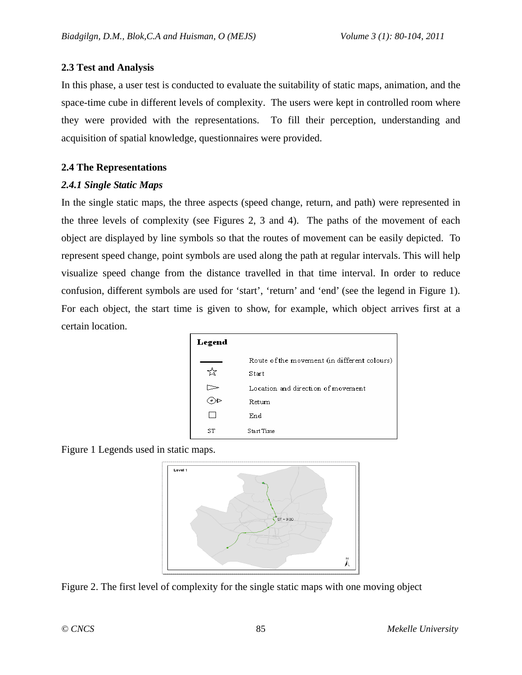# **2.3 Test and Analysis**

In this phase, a user test is conducted to evaluate the suitability of static maps, animation, and the space-time cube in different levels of complexity. The users were kept in controlled room where they were provided with the representations. To fill their perception, understanding and acquisition of spatial knowledge, questionnaires were provided.

# **2.4 The Representations**

# *2.4.1 Single Static Maps*

In the single static maps, the three aspects (speed change, return, and path) were represented in the three levels of complexity (see Figures 2, 3 and 4). The paths of the movement of each object are displayed by line symbols so that the routes of movement can be easily depicted. To represent speed change, point symbols are used along the path at regular intervals. This will help visualize speed change from the distance travelled in that time interval. In order to reduce confusion, different symbols are used for 'start', 'return' and 'end' (see the legend in Figure 1). For each object, the start time is given to show, for example, which object arrives first at a certain location.

| Legend |                                              |
|--------|----------------------------------------------|
|        | Route of the movement (in different colours) |
| ೩      | Start                                        |
|        | Location and direction of movement           |
| بز ہ   | Return                                       |
|        | End                                          |
| ST     | Start Time                                   |

Figure 1 Legends used in static maps.



Figure 2. The first level of complexity for the single static maps with one moving object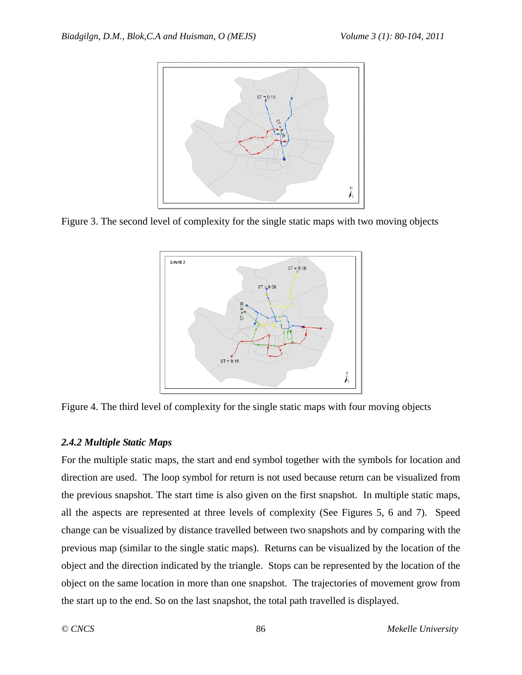

Figure 3. The second level of complexity for the single static maps with two moving objects



Figure 4. The third level of complexity for the single static maps with four moving objects

# *2.4.2 Multiple Static Maps*

For the multiple static maps, the start and end symbol together with the symbols for location and direction are used. The loop symbol for return is not used because return can be visualized from the previous snapshot. The start time is also given on the first snapshot. In multiple static maps, all the aspects are represented at three levels of complexity (See Figures 5, 6 and 7). Speed change can be visualized by distance travelled between two snapshots and by comparing with the previous map (similar to the single static maps). Returns can be visualized by the location of the object and the direction indicated by the triangle. Stops can be represented by the location of the object on the same location in more than one snapshot. The trajectories of movement grow from the start up to the end. So on the last snapshot, the total path travelled is displayed.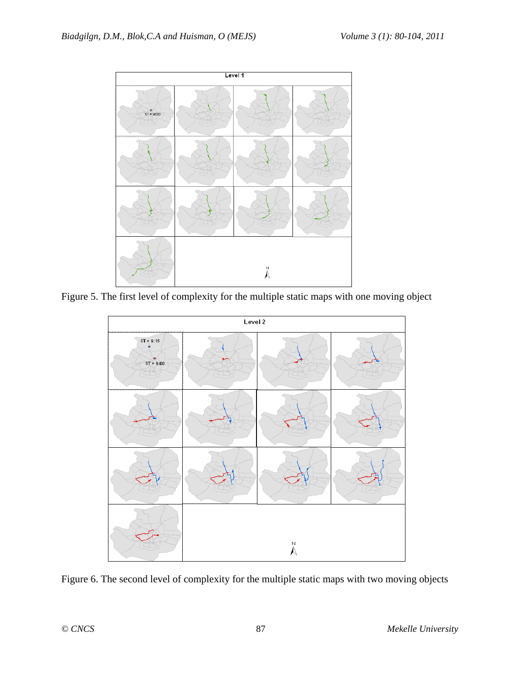

Figure 5. The first level of complexity for the multiple static maps with one moving object



Figure 6. The second level of complexity for the multiple static maps with two moving objects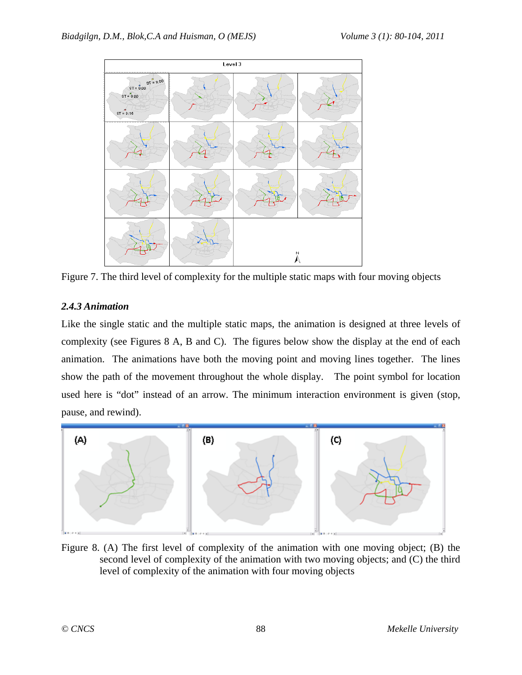

Figure 7. The third level of complexity for the multiple static maps with four moving objects

# *2.4.3 Animation*

Like the single static and the multiple static maps, the animation is designed at three levels of complexity (see Figures 8 A, B and C). The figures below show the display at the end of each animation. The animations have both the moving point and moving lines together. The lines show the path of the movement throughout the whole display. The point symbol for location used here is "dot" instead of an arrow. The minimum interaction environment is given (stop, pause, and rewind).



Figure 8. (A) The first level of complexity of the animation with one moving object; (B) the second level of complexity of the animation with two moving objects; and (C) the third level of complexity of the animation with four moving objects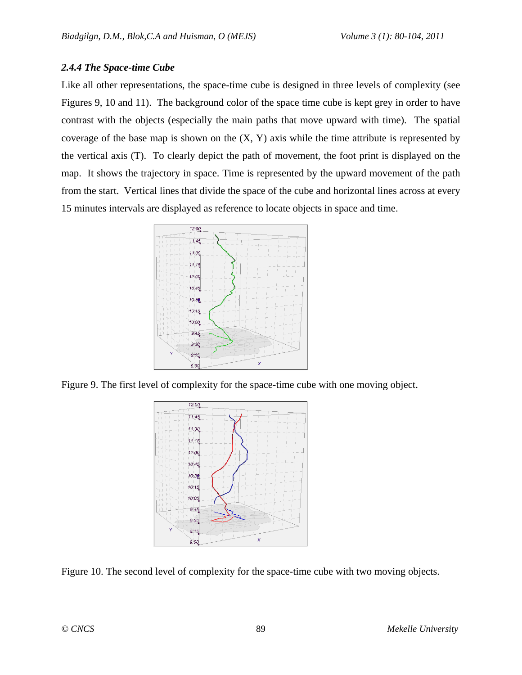## *2.4.4 The Space-time Cube*

Like all other representations, the space-time cube is designed in three levels of complexity (see Figures 9, 10 and 11). The background color of the space time cube is kept grey in order to have contrast with the objects (especially the main paths that move upward with time). The spatial coverage of the base map is shown on the  $(X, Y)$  axis while the time attribute is represented by the vertical axis (T). To clearly depict the path of movement, the foot print is displayed on the map. It shows the trajectory in space. Time is represented by the upward movement of the path from the start. Vertical lines that divide the space of the cube and horizontal lines across at every 15 minutes intervals are displayed as reference to locate objects in space and time.



Figure 9. The first level of complexity for the space-time cube with one moving object.



Figure 10. The second level of complexity for the space-time cube with two moving objects.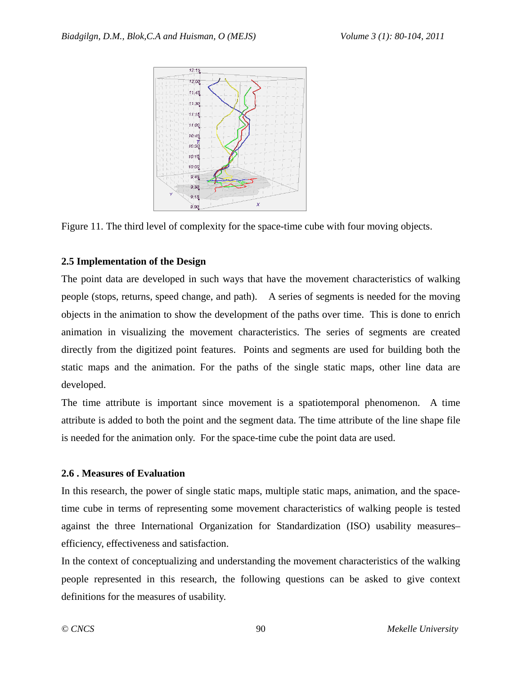

Figure 11. The third level of complexity for the space-time cube with four moving objects.

# **2.5 Implementation of the Design**

The point data are developed in such ways that have the movement characteristics of walking people (stops, returns, speed change, and path). A series of segments is needed for the moving objects in the animation to show the development of the paths over time. This is done to enrich animation in visualizing the movement characteristics. The series of segments are created directly from the digitized point features. Points and segments are used for building both the static maps and the animation. For the paths of the single static maps, other line data are developed.

The time attribute is important since movement is a spatiotemporal phenomenon. A time attribute is added to both the point and the segment data. The time attribute of the line shape file is needed for the animation only. For the space-time cube the point data are used.

# **2.6 . Measures of Evaluation**

In this research, the power of single static maps, multiple static maps, animation, and the spacetime cube in terms of representing some movement characteristics of walking people is tested against the three International Organization for Standardization (ISO) usability measures– efficiency, effectiveness and satisfaction.

In the context of conceptualizing and understanding the movement characteristics of the walking people represented in this research, the following questions can be asked to give context definitions for the measures of usability.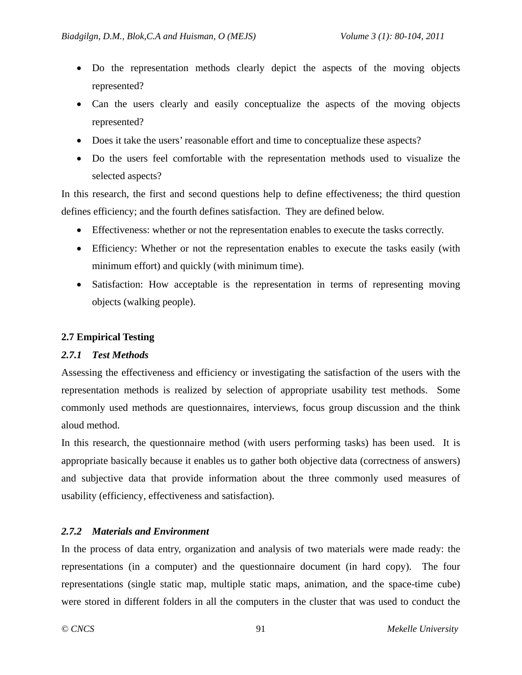- Do the representation methods clearly depict the aspects of the moving objects represented?
- Can the users clearly and easily conceptualize the aspects of the moving objects represented?
- Does it take the users' reasonable effort and time to conceptualize these aspects?
- Do the users feel comfortable with the representation methods used to visualize the selected aspects?

In this research, the first and second questions help to define effectiveness; the third question defines efficiency; and the fourth defines satisfaction. They are defined below.

- Effectiveness: whether or not the representation enables to execute the tasks correctly.
- Efficiency: Whether or not the representation enables to execute the tasks easily (with minimum effort) and quickly (with minimum time).
- Satisfaction: How acceptable is the representation in terms of representing moving objects (walking people).

# **2.7 Empirical Testing**

# *2.7.1 Test Methods*

Assessing the effectiveness and efficiency or investigating the satisfaction of the users with the representation methods is realized by selection of appropriate usability test methods. Some commonly used methods are questionnaires, interviews, focus group discussion and the think aloud method.

In this research, the questionnaire method (with users performing tasks) has been used. It is appropriate basically because it enables us to gather both objective data (correctness of answers) and subjective data that provide information about the three commonly used measures of usability (efficiency, effectiveness and satisfaction).

# *2.7.2 Materials and Environment*

In the process of data entry, organization and analysis of two materials were made ready: the representations (in a computer) and the questionnaire document (in hard copy). The four representations (single static map, multiple static maps, animation, and the space-time cube) were stored in different folders in all the computers in the cluster that was used to conduct the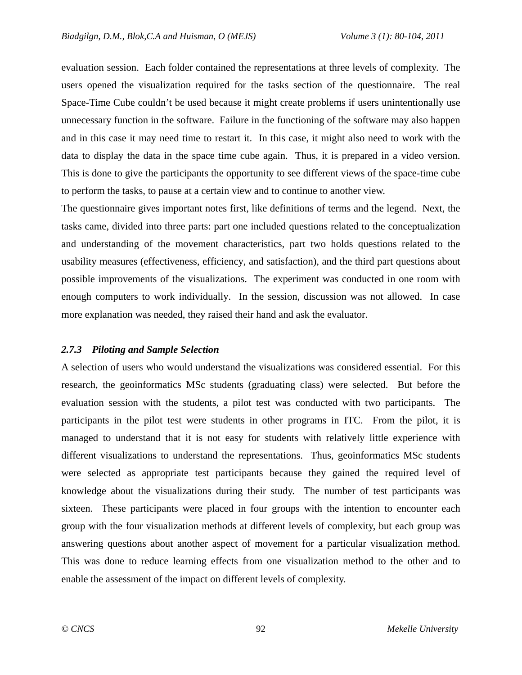evaluation session. Each folder contained the representations at three levels of complexity. The users opened the visualization required for the tasks section of the questionnaire. The real Space-Time Cube couldn't be used because it might create problems if users unintentionally use unnecessary function in the software. Failure in the functioning of the software may also happen and in this case it may need time to restart it. In this case, it might also need to work with the data to display the data in the space time cube again. Thus, it is prepared in a video version. This is done to give the participants the opportunity to see different views of the space-time cube to perform the tasks, to pause at a certain view and to continue to another view.

The questionnaire gives important notes first, like definitions of terms and the legend. Next, the tasks came, divided into three parts: part one included questions related to the conceptualization and understanding of the movement characteristics, part two holds questions related to the usability measures (effectiveness, efficiency, and satisfaction), and the third part questions about possible improvements of the visualizations. The experiment was conducted in one room with enough computers to work individually. In the session, discussion was not allowed. In case more explanation was needed, they raised their hand and ask the evaluator.

## *2.7.3 Piloting and Sample Selection*

A selection of users who would understand the visualizations was considered essential. For this research, the geoinformatics MSc students (graduating class) were selected. But before the evaluation session with the students, a pilot test was conducted with two participants. The participants in the pilot test were students in other programs in ITC. From the pilot, it is managed to understand that it is not easy for students with relatively little experience with different visualizations to understand the representations. Thus, geoinformatics MSc students were selected as appropriate test participants because they gained the required level of knowledge about the visualizations during their study. The number of test participants was sixteen. These participants were placed in four groups with the intention to encounter each group with the four visualization methods at different levels of complexity, but each group was answering questions about another aspect of movement for a particular visualization method. This was done to reduce learning effects from one visualization method to the other and to enable the assessment of the impact on different levels of complexity.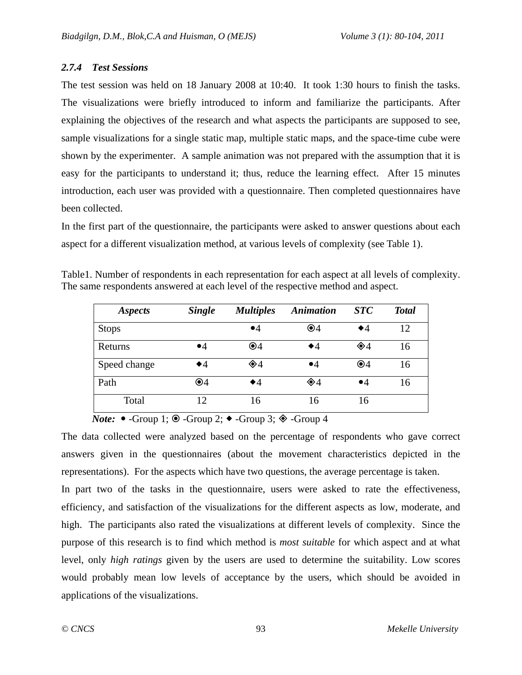# *2.7.4 Test Sessions*

The test session was held on 18 January 2008 at 10:40. It took 1:30 hours to finish the tasks. The visualizations were briefly introduced to inform and familiarize the participants. After explaining the objectives of the research and what aspects the participants are supposed to see, sample visualizations for a single static map, multiple static maps, and the space-time cube were shown by the experimenter. A sample animation was not prepared with the assumption that it is easy for the participants to understand it; thus, reduce the learning effect. After 15 minutes introduction, each user was provided with a questionnaire. Then completed questionnaires have been collected.

In the first part of the questionnaire, the participants were asked to answer questions about each aspect for a different visualization method, at various levels of complexity (see Table 1).

| Table 1. Number of respondents in each representation for each aspect at all levels of complexity. |
|----------------------------------------------------------------------------------------------------|
| The same respondents answered at each level of the respective method and aspect.                   |

| Aspects      | <b>Single</b> | <b>Multiples</b> | <b>Animation</b>    | STC                 | <b>Total</b> |  |
|--------------|---------------|------------------|---------------------|---------------------|--------------|--|
| <b>Stops</b> |               | $\bullet$ 4      | $\odot$ 4           | $\bullet$ 4         | 12           |  |
| Returns      | $\bullet 4$   | $\odot$ 4        | $\bullet$ 4         | $\Leftrightarrow$ 4 | 16           |  |
| Speed change | ♦4            | $\bigcirc 4$     | $\bullet 4$         | $\odot$ 4           | 16           |  |
| Path         | $\odot$ 4     | $\bullet$ 4      | $\Leftrightarrow$ 4 | $\bullet 4$         | 16           |  |
| Total        | 12            | 16               | 16                  | 16                  |              |  |

*Note:*  $\bullet$  -Group 1;  $\odot$  -Group 2;  $\bullet$  -Group 3;  $\otimes$  -Group 4

The data collected were analyzed based on the percentage of respondents who gave correct answers given in the questionnaires (about the movement characteristics depicted in the representations). For the aspects which have two questions, the average percentage is taken.

In part two of the tasks in the questionnaire, users were asked to rate the effectiveness, efficiency, and satisfaction of the visualizations for the different aspects as low, moderate, and high. The participants also rated the visualizations at different levels of complexity. Since the purpose of this research is to find which method is *most suitable* for which aspect and at what level, only *high ratings* given by the users are used to determine the suitability. Low scores would probably mean low levels of acceptance by the users, which should be avoided in applications of the visualizations.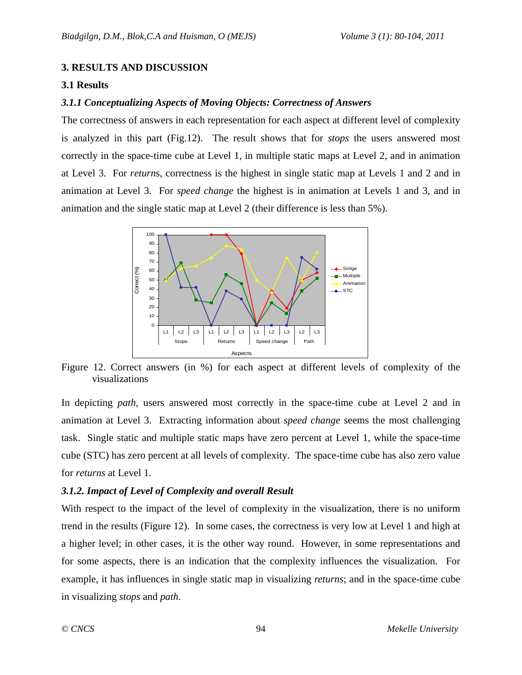## **3. RESULTS AND DISCUSSION**

#### **3.1 Results**

## *3.1.1 Conceptualizing Aspects of Moving Objects: Correctness of Answers*

The correctness of answers in each representation for each aspect at different level of complexity is analyzed in this part (Fig.12). The result shows that for *stops* the users answered most correctly in the space-time cube at Level 1, in multiple static maps at Level 2, and in animation at Level 3. For *return*s, correctness is the highest in single static map at Levels 1 and 2 and in animation at Level 3. For *speed change* the highest is in animation at Levels 1 and 3, and in animation and the single static map at Level 2 (their difference is less than 5%).



Figure 12. Correct answers (in %) for each aspect at different levels of complexity of the visualizations

In depicting *path,* users answered most correctly in the space-time cube at Level 2 and in animation at Level 3. Extracting information about *speed change* seems the most challenging task. Single static and multiple static maps have zero percent at Level 1, while the space-time cube (STC) has zero percent at all levels of complexity. The space-time cube has also zero value for *returns* at Level 1.

#### *3.1.2. Impact of Level of Complexity and overall Result*

With respect to the impact of the level of complexity in the visualization, there is no uniform trend in the results (Figure 12). In some cases, the correctness is very low at Level 1 and high at a higher level; in other cases, it is the other way round. However, in some representations and for some aspects, there is an indication that the complexity influences the visualization. For example, it has influences in single static map in visualizing *returns*; and in the space-time cube in visualizing *stops* and *path*.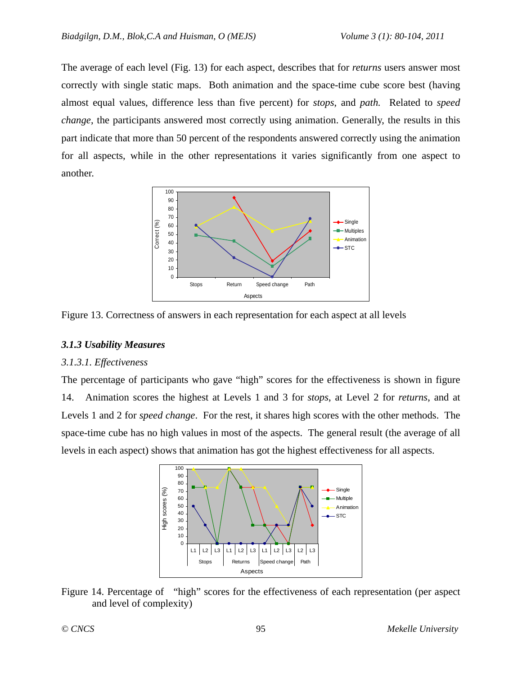The average of each level (Fig. 13) for each aspect, describes that for *returns* users answer most correctly with single static maps. Both animation and the space-time cube score best (having almost equal values, difference less than five percent) for *stops*, and *path.* Related to *speed change*, the participants answered most correctly using animation. Generally, the results in this part indicate that more than 50 percent of the respondents answered correctly using the animation for all aspects, while in the other representations it varies significantly from one aspect to another.



Figure 13. Correctness of answers in each representation for each aspect at all levels

# *3.1.3 Usability Measures*

# *3.1.3.1. Effectiveness*

The percentage of participants who gave "high" scores for the effectiveness is shown in figure 14. Animation scores the highest at Levels 1 and 3 for *stops*, at Level 2 for *returns*, and at Levels 1 and 2 for *speed change*. For the rest, it shares high scores with the other methods. The space-time cube has no high values in most of the aspects. The general result (the average of all levels in each aspect) shows that animation has got the highest effectiveness for all aspects.



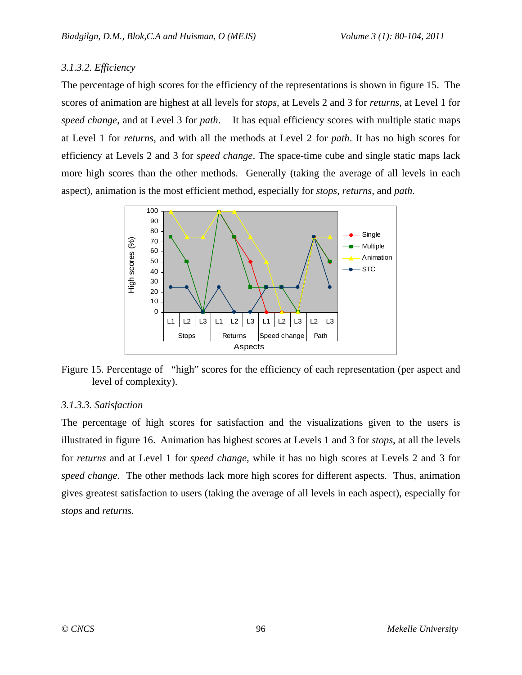# *3.1.3.2. Efficiency*

The percentage of high scores for the efficiency of the representations is shown in figure 15. The scores of animation are highest at all levels for *stops*, at Levels 2 and 3 for *returns*, at Level 1 for *speed change*, and at Level 3 for *path*. It has equal efficiency scores with multiple static maps at Level 1 for *returns*, and with all the methods at Level 2 for *path*. It has no high scores for efficiency at Levels 2 and 3 for *speed change*. The space-time cube and single static maps lack more high scores than the other methods. Generally (taking the average of all levels in each aspect), animation is the most efficient method, especially for *stops*, *returns*, and *path*.



Figure 15. Percentage of "high" scores for the efficiency of each representation (per aspect and level of complexity).

# *3.1.3.3. Satisfaction*

The percentage of high scores for satisfaction and the visualizations given to the users is illustrated in figure 16. Animation has highest scores at Levels 1 and 3 for *stops*, at all the levels for *returns* and at Level 1 for *speed change*, while it has no high scores at Levels 2 and 3 for *speed change*. The other methods lack more high scores for different aspects. Thus, animation gives greatest satisfaction to users (taking the average of all levels in each aspect), especially for *stops* and *returns*.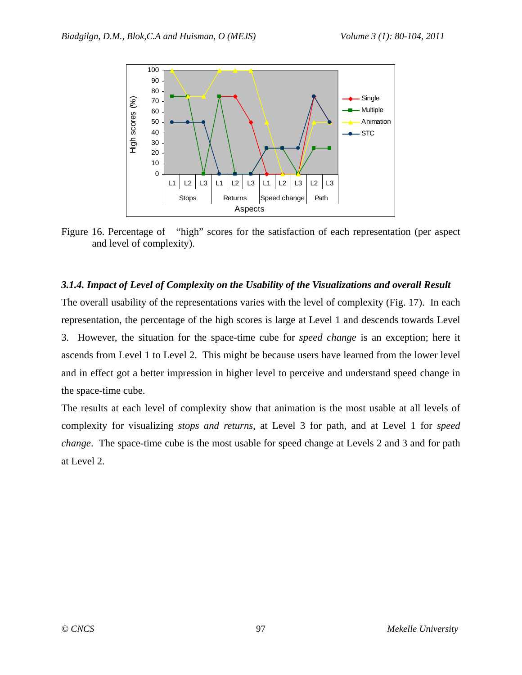

Figure 16. Percentage of "high" scores for the satisfaction of each representation (per aspect and level of complexity).

#### *3.1.4. Impact of Level of Complexity on the Usability of the Visualizations and overall Result*

The overall usability of the representations varies with the level of complexity (Fig. 17). In each representation, the percentage of the high scores is large at Level 1 and descends towards Level 3. However, the situation for the space-time cube for *speed change* is an exception; here it ascends from Level 1 to Level 2. This might be because users have learned from the lower level and in effect got a better impression in higher level to perceive and understand speed change in the space-time cube.

The results at each level of complexity show that animation is the most usable at all levels of complexity for visualizing *stops and returns*, at Level 3 for path, and at Level 1 for *speed change*. The space-time cube is the most usable for speed change at Levels 2 and 3 and for path at Level 2.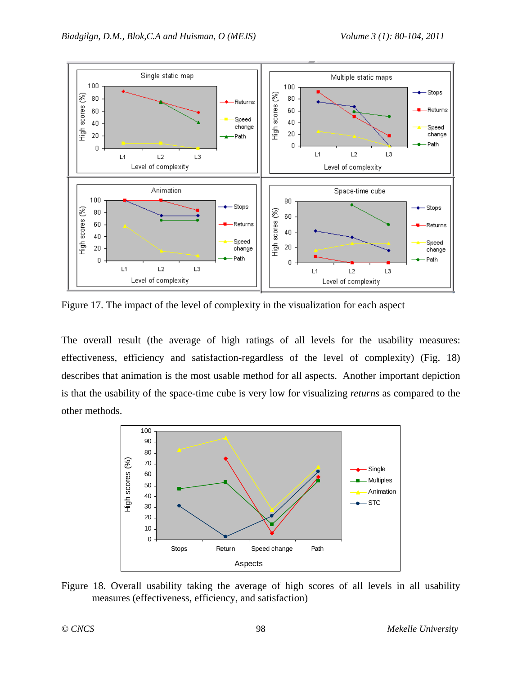

Figure 17. The impact of the level of complexity in the visualization for each aspect

The overall result (the average of high ratings of all levels for the usability measures: effectiveness, efficiency and satisfaction-regardless of the level of complexity) (Fig. 18) describes that animation is the most usable method for all aspects. Another important depiction is that the usability of the space-time cube is very low for visualizing *returns* as compared to the other methods.



Figure 18. Overall usability taking the average of high scores of all levels in all usability measures (effectiveness, efficiency, and satisfaction)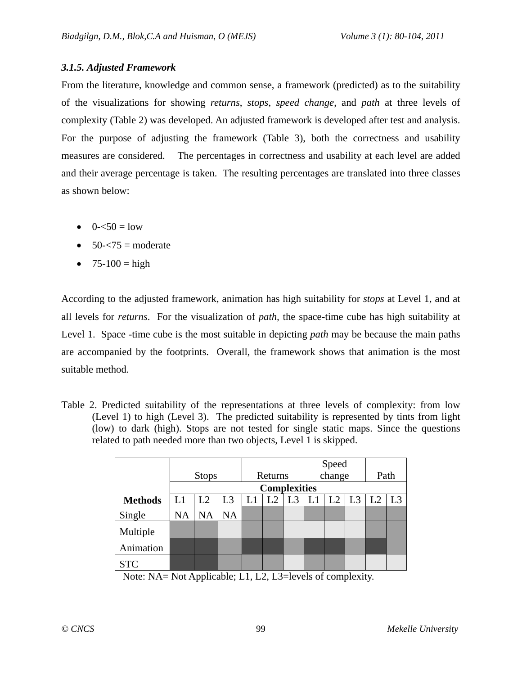# *3.1.5. Adjusted Framework*

From the literature, knowledge and common sense, a framework (predicted) as to the suitability of the visualizations for showing *returns*, *stops*, *speed change*, and *path* at three levels of complexity (Table 2) was developed. An adjusted framework is developed after test and analysis. For the purpose of adjusting the framework (Table 3), both the correctness and usability measures are considered. The percentages in correctness and usability at each level are added and their average percentage is taken. The resulting percentages are translated into three classes as shown below:

- $0 50 = \text{low}$
- $\bullet$  50- $\lt 75$  = moderate
- $75-100 = high$

According to the adjusted framework, animation has high suitability for *stops* at Level 1, and at all levels for *returns*. For the visualization of *path,* the space-time cube has high suitability at Level 1. Space -time cube is the most suitable in depicting *path* may be because the main paths are accompanied by the footprints. Overall, the framework shows that animation is the most suitable method.

Table 2. Predicted suitability of the representations at three levels of complexity: from low (Level 1) to high (Level 3). The predicted suitability is represented by tints from light (low) to dark (high). Stops are not tested for single static maps. Since the questions related to path needed more than two objects, Level 1 is skipped.

|                | <b>Stops</b>        |           |                | Returns |             |                | Speed<br>change |    |                | Path |                |
|----------------|---------------------|-----------|----------------|---------|-------------|----------------|-----------------|----|----------------|------|----------------|
|                | <b>Complexities</b> |           |                |         |             |                |                 |    |                |      |                |
| <b>Methods</b> | L1                  | L2        | L <sub>3</sub> | L1      | $2^{\circ}$ | L <sub>3</sub> |                 | L2 | L <sub>3</sub> | L2   | L <sub>3</sub> |
| Single         | <b>NA</b>           | <b>NA</b> | <b>NA</b>      |         |             |                |                 |    |                |      |                |
| Multiple       |                     |           |                |         |             |                |                 |    |                |      |                |
| Animation      |                     |           |                |         |             |                |                 |    |                |      |                |
| <b>STC</b>     |                     |           |                |         |             |                |                 |    |                |      |                |

Note: NA= Not Applicable; L1, L2, L3=levels of complexity.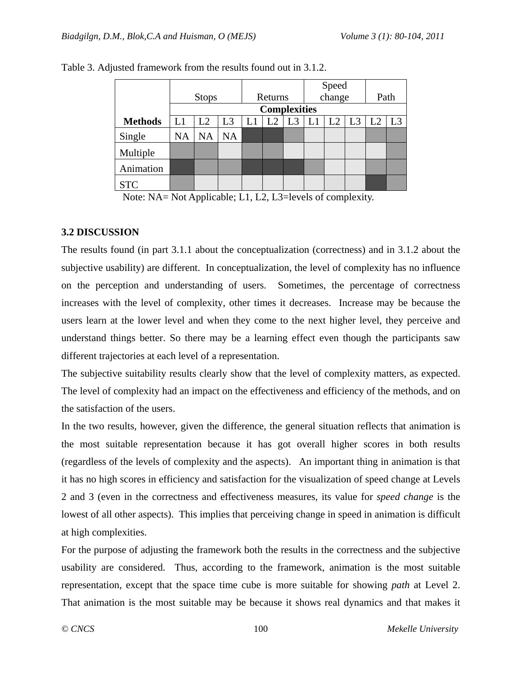|                | <b>Stops</b>        |           |           | Returns |    |                | Speed<br>change |    |                | Path |    |
|----------------|---------------------|-----------|-----------|---------|----|----------------|-----------------|----|----------------|------|----|
|                | <b>Complexities</b> |           |           |         |    |                |                 |    |                |      |    |
| <b>Methods</b> | L1                  | L2        | L3        | L1      | L2 | L <sub>3</sub> | L1              | L2 | L <sub>3</sub> | L2   | L3 |
| Single         | <b>NA</b>           | <b>NA</b> | <b>NA</b> |         |    |                |                 |    |                |      |    |
| Multiple       |                     |           |           |         |    |                |                 |    |                |      |    |
| Animation      |                     |           |           |         |    |                |                 |    |                |      |    |
| <b>STC</b>     |                     |           |           |         |    |                |                 |    |                |      |    |

Table 3. Adjusted framework from the results found out in 3.1.2.

Note: NA= Not Applicable; L1, L2, L3=levels of complexity.

## **3.2 DISCUSSION**

The results found (in part 3.1.1 about the conceptualization (correctness) and in 3.1.2 about the subjective usability) are different. In conceptualization, the level of complexity has no influence on the perception and understanding of users. Sometimes, the percentage of correctness increases with the level of complexity, other times it decreases. Increase may be because the users learn at the lower level and when they come to the next higher level, they perceive and understand things better. So there may be a learning effect even though the participants saw different trajectories at each level of a representation.

The subjective suitability results clearly show that the level of complexity matters, as expected. The level of complexity had an impact on the effectiveness and efficiency of the methods, and on the satisfaction of the users.

In the two results, however, given the difference, the general situation reflects that animation is the most suitable representation because it has got overall higher scores in both results (regardless of the levels of complexity and the aspects). An important thing in animation is that it has no high scores in efficiency and satisfaction for the visualization of speed change at Levels 2 and 3 (even in the correctness and effectiveness measures, its value for *speed change* is the lowest of all other aspects). This implies that perceiving change in speed in animation is difficult at high complexities.

For the purpose of adjusting the framework both the results in the correctness and the subjective usability are considered. Thus, according to the framework, animation is the most suitable representation, except that the space time cube is more suitable for showing *path* at Level 2. That animation is the most suitable may be because it shows real dynamics and that makes it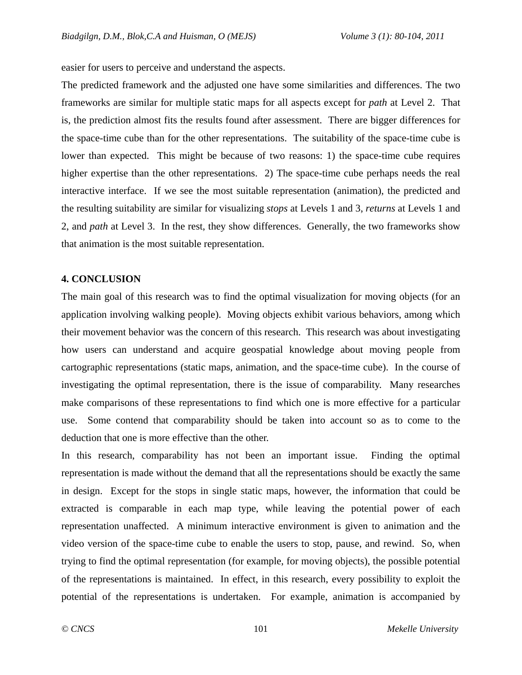easier for users to perceive and understand the aspects.

The predicted framework and the adjusted one have some similarities and differences. The two frameworks are similar for multiple static maps for all aspects except for *path* at Level 2. That is, the prediction almost fits the results found after assessment. There are bigger differences for the space-time cube than for the other representations. The suitability of the space-time cube is lower than expected. This might be because of two reasons: 1) the space-time cube requires higher expertise than the other representations. 2) The space-time cube perhaps needs the real interactive interface. If we see the most suitable representation (animation), the predicted and the resulting suitability are similar for visualizing *stops* at Levels 1 and 3, *returns* at Levels 1 and 2, and *path* at Level 3. In the rest, they show differences. Generally, the two frameworks show that animation is the most suitable representation.

## **4. CONCLUSION**

The main goal of this research was to find the optimal visualization for moving objects (for an application involving walking people). Moving objects exhibit various behaviors, among which their movement behavior was the concern of this research. This research was about investigating how users can understand and acquire geospatial knowledge about moving people from cartographic representations (static maps, animation, and the space-time cube). In the course of investigating the optimal representation, there is the issue of comparability. Many researches make comparisons of these representations to find which one is more effective for a particular use. Some contend that comparability should be taken into account so as to come to the deduction that one is more effective than the other.

In this research, comparability has not been an important issue. Finding the optimal representation is made without the demand that all the representations should be exactly the same in design. Except for the stops in single static maps, however, the information that could be extracted is comparable in each map type, while leaving the potential power of each representation unaffected. A minimum interactive environment is given to animation and the video version of the space-time cube to enable the users to stop, pause, and rewind. So, when trying to find the optimal representation (for example, for moving objects), the possible potential of the representations is maintained. In effect, in this research, every possibility to exploit the potential of the representations is undertaken. For example, animation is accompanied by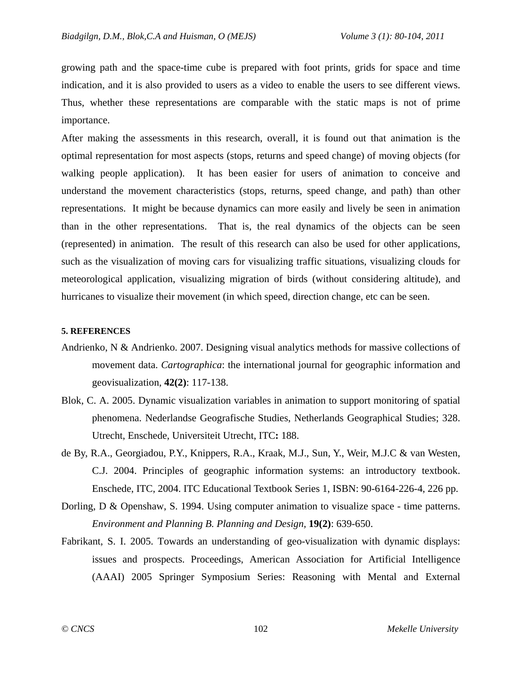growing path and the space-time cube is prepared with foot prints, grids for space and time indication, and it is also provided to users as a video to enable the users to see different views. Thus, whether these representations are comparable with the static maps is not of prime importance.

After making the assessments in this research, overall, it is found out that animation is the optimal representation for most aspects (stops, returns and speed change) of moving objects (for walking people application). It has been easier for users of animation to conceive and understand the movement characteristics (stops, returns, speed change, and path) than other representations. It might be because dynamics can more easily and lively be seen in animation than in the other representations. That is, the real dynamics of the objects can be seen (represented) in animation. The result of this research can also be used for other applications, such as the visualization of moving cars for visualizing traffic situations, visualizing clouds for meteorological application, visualizing migration of birds (without considering altitude), and hurricanes to visualize their movement (in which speed, direction change, etc can be seen.

#### **5. REFERENCES**

- Andrienko, N & Andrienko. 2007. Designing visual analytics methods for massive collections of movement data. *Cartographica*: the international journal for geographic information and geovisualization, **42(2)**: 117-138.
- Blok, C. A. 2005. Dynamic visualization variables in animation to support monitoring of spatial phenomena. Nederlandse Geografische Studies, Netherlands Geographical Studies; 328. Utrecht, Enschede, Universiteit Utrecht, ITC**:** 188.
- de By, R.A., Georgiadou, P.Y., Knippers, R.A., Kraak, M.J., Sun, Y., Weir, M.J.C & van Westen, C.J. 2004. Principles of geographic information systems: an introductory textbook. Enschede, ITC, 2004. ITC Educational Textbook Series 1, ISBN: 90-6164-226-4, 226 pp.
- Dorling, D & Openshaw, S. 1994. Using computer animation to visualize space time patterns. *Environment and Planning B. Planning and Design,* **19(2)**: 639-650.
- Fabrikant, S. I. 2005. Towards an understanding of geo-visualization with dynamic displays: issues and prospects. Proceedings, American Association for Artificial Intelligence (AAAI) 2005 Springer Symposium Series: Reasoning with Mental and External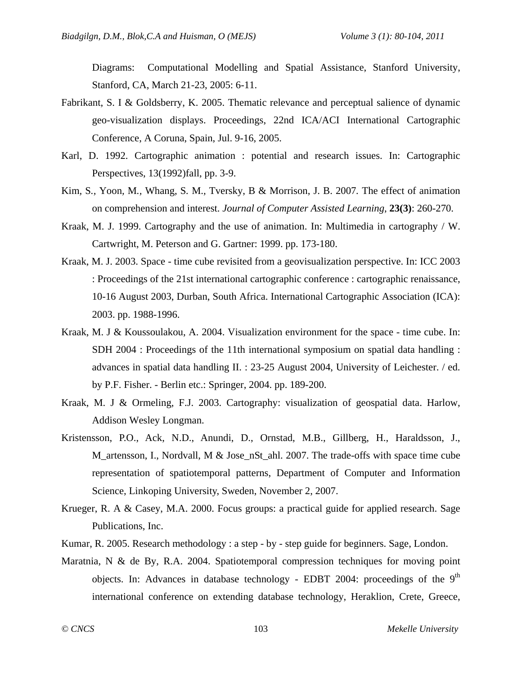Diagrams: Computational Modelling and Spatial Assistance, Stanford University, Stanford, CA, March 21-23, 2005: 6-11.

- Fabrikant, S. I & Goldsberry, K. 2005. Thematic relevance and perceptual salience of dynamic geo-visualization displays. Proceedings, 22nd ICA/ACI International Cartographic Conference, A Coruna, Spain, Jul. 9-16, 2005.
- Karl, D. 1992. Cartographic animation : potential and research issues. In: Cartographic Perspectives, 13(1992)fall, pp. 3-9.
- Kim*,* S*.,* Yoon*,* M*.,* Whang, S*.* M.*,* Tversky, B & Morrison, J. B. 2007*.* The effect of animation on comprehension and interest. *Journal of Computer Assisted Learning*, **23(3)**: 260-270.
- Kraak, M. J. 1999. Cartography and the use of animation. In: Multimedia in cartography / W. Cartwright, M. Peterson and G. Gartner: 1999. pp. 173-180.
- Kraak, M. J. 2003. Space time cube revisited from a geovisualization perspective. In: ICC 2003 : Proceedings of the 21st international cartographic conference : cartographic renaissance, 10-16 August 2003, Durban, South Africa. International Cartographic Association (ICA): 2003. pp. 1988-1996.
- Kraak, M. J & Koussoulakou, A. 2004. Visualization environment for the space time cube. In: SDH 2004 : Proceedings of the 11th international symposium on spatial data handling : advances in spatial data handling II. : 23-25 August 2004, University of Leichester. / ed. by P.F. Fisher. - Berlin etc.: Springer, 2004. pp. 189-200.
- Kraak, M. J & Ormeling, F.J. 2003. Cartography: visualization of geospatial data. Harlow, Addison Wesley Longman.
- Kristensson, P.O., Ack, N.D., Anundi, D., Ornstad, M.B., Gillberg, H., Haraldsson, J., M artensson, I., Nordvall, M & Jose  $nSt$  ahl. 2007. The trade-offs with space time cube representation of spatiotemporal patterns, Department of Computer and Information Science, Linkoping University, Sweden, November 2, 2007.
- Krueger, R. A & Casey, M.A. 2000. Focus groups: a practical guide for applied research. Sage Publications, Inc.
- Kumar, R. 2005. Research methodology : a step by step guide for beginners. Sage, London.
- Maratnia, N & de By, R.A. 2004. Spatiotemporal compression techniques for moving point objects. In: Advances in database technology - EDBT 2004: proceedings of the  $9<sup>th</sup>$ international conference on extending database technology, Heraklion, Crete, Greece,